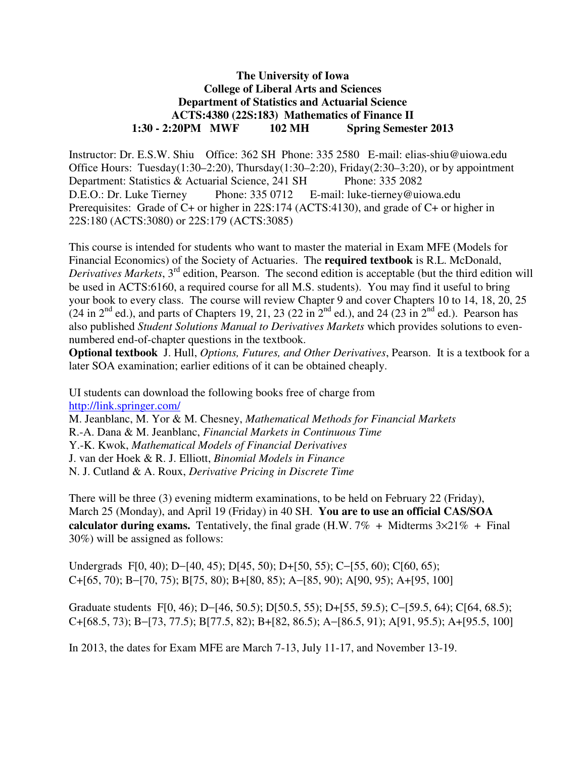# **The University of Iowa College of Liberal Arts and Sciences Department of Statistics and Actuarial Science ACTS:4380 (22S:183) Mathematics of Finance II 1:30 - 2:20PM MWF 102 MH Spring Semester 2013**

Instructor: Dr. E.S.W. Shiu Office: 362 SH Phone: 335 2580 E-mail: elias-shiu@uiowa.edu Office Hours: Tuesday(1:30–2:20), Thursday(1:30–2:20), Friday(2:30–3:20), or by appointment Department: Statistics & Actuarial Science, 241 SH Phone: 335 2082 D.E.O.: Dr. Luke Tierney Phone: 335 0712 E-mail: luke-tierney@uiowa.edu Prerequisites: Grade of C+ or higher in 22S:174 (ACTS:4130), and grade of C+ or higher in 22S:180 (ACTS:3080) or 22S:179 (ACTS:3085)

This course is intended for students who want to master the material in Exam MFE (Models for Financial Economics) of the Society of Actuaries. The **required textbook** is R.L. McDonald, *Derivatives Markets*, 3<sup>rd</sup> edition, Pearson. The second edition is acceptable (but the third edition will be used in ACTS:6160, a required course for all M.S. students). You may find it useful to bring your book to every class. The course will review Chapter 9 and cover Chapters 10 to 14, 18, 20, 25  $(24 \text{ in } 2^{\text{nd}} \text{ ed.})$ , and parts of Chapters 19, 21, 23 (22 in  $2^{\text{nd}}$  ed.), and 24 (23 in  $2^{\text{nd}}$  ed.). Pearson has also published *Student Solutions Manual to Derivatives Markets* which provides solutions to evennumbered end-of-chapter questions in the textbook.

**Optional textbook** J. Hull, *Options, Futures, and Other Derivatives*, Pearson. It is a textbook for a later SOA examination; earlier editions of it can be obtained cheaply.

UI students can download the following books free of charge from http://link.springer.com/

M. Jeanblanc, M. Yor & M. Chesney, *Mathematical Methods for Financial Markets*

R.-A. Dana & M. Jeanblanc, *Financial Markets in Continuous Time*

Y.-K. Kwok, *Mathematical Models of Financial Derivatives* 

J. van der Hoek & R. J. Elliott, *Binomial Models in Finance* 

N. J. Cutland & A. Roux, *Derivative Pricing in Discrete Time* 

There will be three (3) evening midterm examinations, to be held on February 22 (Friday), March 25 (Monday), and April 19 (Friday) in 40 SH. **You are to use an official CAS/SOA calculator during exams.** Tentatively, the final grade (H.W.  $7\%$  + Midterms  $3\times21\%$  + Final 30%) will be assigned as follows:

Undergrads F[0, 40); D−[40, 45); D[45, 50); D+[50, 55); C−[55, 60); C[60, 65); C+[65, 70); B−[70, 75); B[75, 80); B+[80, 85); A−[85, 90); A[90, 95); A+[95, 100]

Graduate students F[0, 46); D−[46, 50.5); D[50.5, 55); D+[55, 59.5); C−[59.5, 64); C[64, 68.5); C+[68.5, 73); B−[73, 77.5); B[77.5, 82); B+[82, 86.5); A−[86.5, 91); A[91, 95.5); A+[95.5, 100]

In 2013, the dates for Exam MFE are March 7-13, July 11-17, and November 13-19.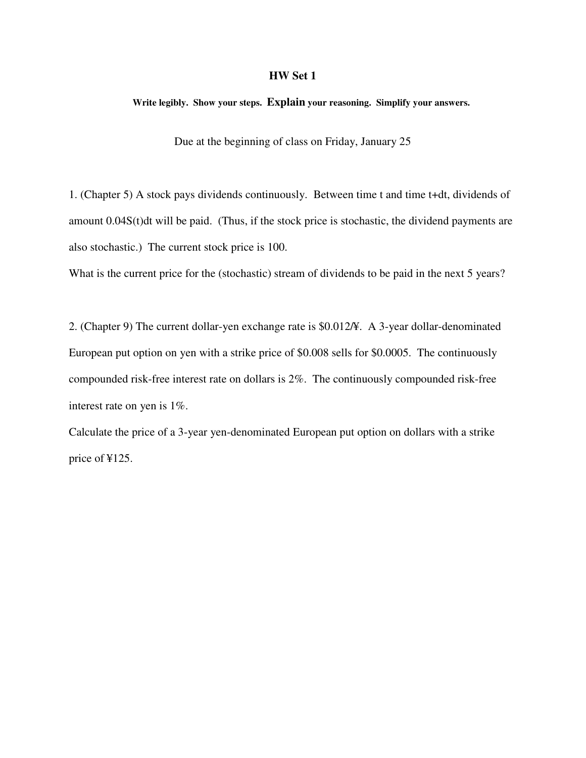# **HW Set 1**

**Write legibly. Show your steps. Explain your reasoning. Simplify your answers.** 

Due at the beginning of class on Friday, January 25

1. (Chapter 5) A stock pays dividends continuously. Between time t and time t+dt, dividends of amount 0.04S(t)dt will be paid. (Thus, if the stock price is stochastic, the dividend payments are also stochastic.) The current stock price is 100.

What is the current price for the (stochastic) stream of dividends to be paid in the next 5 years?

2. (Chapter 9) The current dollar-yen exchange rate is \$0.012/¥. A 3-year dollar-denominated European put option on yen with a strike price of \$0.008 sells for \$0.0005. The continuously compounded risk-free interest rate on dollars is 2%. The continuously compounded risk-free interest rate on yen is 1%.

Calculate the price of a 3-year yen-denominated European put option on dollars with a strike price of ¥125.